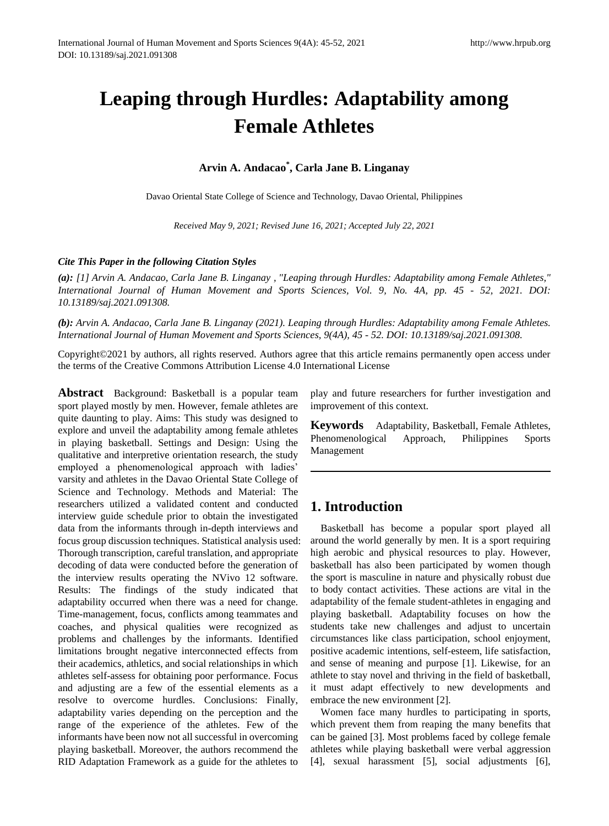# **Leaping through Hurdles: Adaptability among Female Athletes**

## **Arvin A. Andacao\* , Carla Jane B. Linganay**

Davao Oriental State College of Science and Technology, Davao Oriental, Philippines

*Received May 9, 2021; Revised June 16, 2021; Accepted July 22, 2021*

#### *Cite This Paper in the following Citation Styles*

*(a): [1] Arvin A. Andacao, Carla Jane B. Linganay , "Leaping through Hurdles: Adaptability among Female Athletes," International Journal of Human Movement and Sports Sciences, Vol. 9, No. 4A, pp. 45 - 52, 2021. DOI: 10.13189/saj.2021.091308.*

*(b): Arvin A. Andacao, Carla Jane B. Linganay (2021). Leaping through Hurdles: Adaptability among Female Athletes. International Journal of Human Movement and Sports Sciences, 9(4A), 45 - 52. DOI: 10.13189/saj.2021.091308.*

Copyright©2021 by authors, all rights reserved. Authors agree that this article remains permanently open access under the terms of the Creative Commons Attribution License 4.0 International License

**Abstract** Background: Basketball is a popular team sport played mostly by men. However, female athletes are quite daunting to play. Aims: This study was designed to explore and unveil the adaptability among female athletes in playing basketball. Settings and Design: Using the qualitative and interpretive orientation research, the study employed a phenomenological approach with ladies' varsity and athletes in the Davao Oriental State College of Science and Technology. Methods and Material: The researchers utilized a validated content and conducted interview guide schedule prior to obtain the investigated data from the informants through in-depth interviews and focus group discussion techniques. Statistical analysis used: Thorough transcription, careful translation, and appropriate decoding of data were conducted before the generation of the interview results operating the NVivo 12 software. Results: The findings of the study indicated that adaptability occurred when there was a need for change. Time-management, focus, conflicts among teammates and coaches, and physical qualities were recognized as problems and challenges by the informants. Identified limitations brought negative interconnected effects from their academics, athletics, and social relationships in which athletes self-assess for obtaining poor performance. Focus and adjusting are a few of the essential elements as a resolve to overcome hurdles. Conclusions: Finally, adaptability varies depending on the perception and the range of the experience of the athletes. Few of the informants have been now not all successful in overcoming playing basketball. Moreover, the authors recommend the RID Adaptation Framework as a guide for the athletes to

play and future researchers for further investigation and improvement of this context.

**Keywords** Adaptability, Basketball, Female Athletes, Phenomenological Approach, Philippines Sports Management

# **1. Introduction**

Basketball has become a popular sport played all around the world generally by men. It is a sport requiring high aerobic and physical resources to play. However, basketball has also been participated by women though the sport is masculine in nature and physically robust due to body contact activities. These actions are vital in the adaptability of the female student-athletes in engaging and playing basketball. Adaptability focuses on how the students take new challenges and adjust to uncertain circumstances like class participation, school enjoyment, positive academic intentions, self-esteem, life satisfaction, and sense of meaning and purpose [1]. Likewise, for an athlete to stay novel and thriving in the field of basketball, it must adapt effectively to new developments and embrace the new environment [2].

Women face many hurdles to participating in sports, which prevent them from reaping the many benefits that can be gained [3]. Most problems faced by college female athletes while playing basketball were verbal aggression [4], sexual harassment [5], social adjustments [6],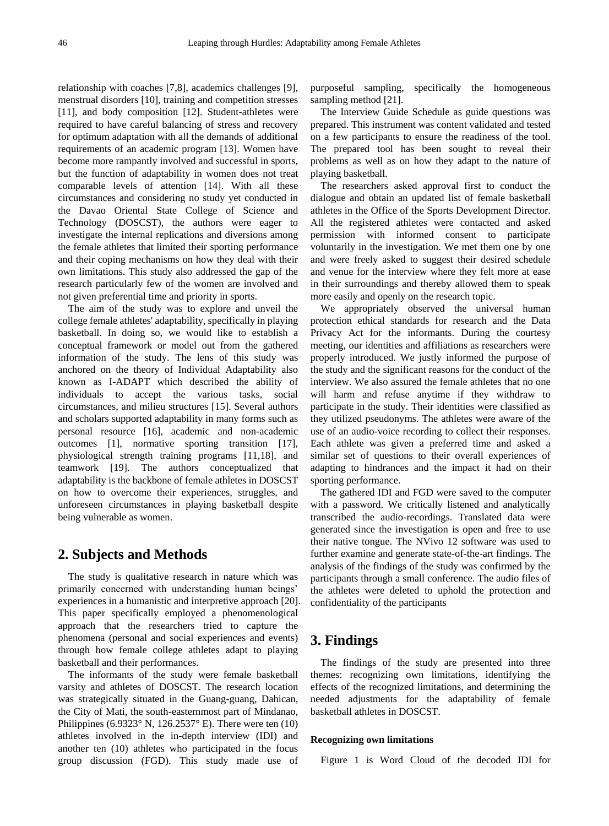relationship with coaches [7,8], academics challenges [9], menstrual disorders [10], training and competition stresses [11], and body composition [12]. Student-athletes were required to have careful balancing of stress and recovery for optimum adaptation with all the demands of additional requirements of an academic program [13]. Women have become more rampantly involved and successful in sports, but the function of adaptability in women does not treat comparable levels of attention [14]. With all these circumstances and considering no study yet conducted in the Davao Oriental State College of Science and Technology (DOSCST), the authors were eager to investigate the internal replications and diversions among the female athletes that limited their sporting performance and their coping mechanisms on how they deal with their own limitations. This study also addressed the gap of the research particularly few of the women are involved and not given preferential time and priority in sports.

The aim of the study was to explore and unveil the college female athletes' adaptability, specifically in playing basketball. In doing so, we would like to establish a conceptual framework or model out from the gathered information of the study. The lens of this study was anchored on the theory of Individual Adaptability also known as I-ADAPT which described the ability of individuals to accept the various tasks, social circumstances, and milieu structures [15]. Several authors and scholars supported adaptability in many forms such as personal resource [16], academic and non-academic outcomes [1], normative sporting transition [17], physiological strength training programs [11,18], and teamwork [19]. The authors conceptualized that adaptability is the backbone of female athletes in DOSCST on how to overcome their experiences, struggles, and unforeseen circumstances in playing basketball despite being vulnerable as women.

## **2. Subjects and Methods**

The study is qualitative research in nature which was primarily concerned with understanding human beings' experiences in a humanistic and interpretive approach [20]. This paper specifically employed a phenomenological approach that the researchers tried to capture the phenomena (personal and social experiences and events) through how female college athletes adapt to playing basketball and their performances.

The informants of the study were female basketball varsity and athletes of DOSCST. The research location was strategically situated in the Guang-guang, Dahican, the City of Mati, the south-easternmost part of Mindanao, Philippines (6.9323 $\textdegree$ N, 126.2537 $\textdegree$ E). There were ten (10) athletes involved in the in-depth interview (IDI) and another ten (10) athletes who participated in the focus group discussion (FGD). This study made use of purposeful sampling, specifically the homogeneous sampling method [21].

The Interview Guide Schedule as guide questions was prepared. This instrument was content validated and tested on a few participants to ensure the readiness of the tool. The prepared tool has been sought to reveal their problems as well as on how they adapt to the nature of playing basketball.

The researchers asked approval first to conduct the dialogue and obtain an updated list of female basketball athletes in the Office of the Sports Development Director. All the registered athletes were contacted and asked permission with informed consent to participate voluntarily in the investigation. We met them one by one and were freely asked to suggest their desired schedule and venue for the interview where they felt more at ease in their surroundings and thereby allowed them to speak more easily and openly on the research topic.

We appropriately observed the universal human protection ethical standards for research and the Data Privacy Act for the informants. During the courtesy meeting, our identities and affiliations as researchers were properly introduced. We justly informed the purpose of the study and the significant reasons for the conduct of the interview. We also assured the female athletes that no one will harm and refuse anytime if they withdraw to participate in the study. Their identities were classified as they utilized pseudonyms. The athletes were aware of the use of an audio-voice recording to collect their responses. Each athlete was given a preferred time and asked a similar set of questions to their overall experiences of adapting to hindrances and the impact it had on their sporting performance.

The gathered IDI and FGD were saved to the computer with a password. We critically listened and analytically transcribed the audio-recordings. Translated data were generated since the investigation is open and free to use their native tongue. The NVivo 12 software was used to further examine and generate state-of-the-art findings. The analysis of the findings of the study was confirmed by the participants through a small conference. The audio files of the athletes were deleted to uphold the protection and confidentiality of the participants

## **3. Findings**

The findings of the study are presented into three themes: recognizing own limitations, identifying the effects of the recognized limitations, and determining the needed adjustments for the adaptability of female basketball athletes in DOSCST.

#### **Recognizing own limitations**

Figure 1 is Word Cloud of the decoded IDI for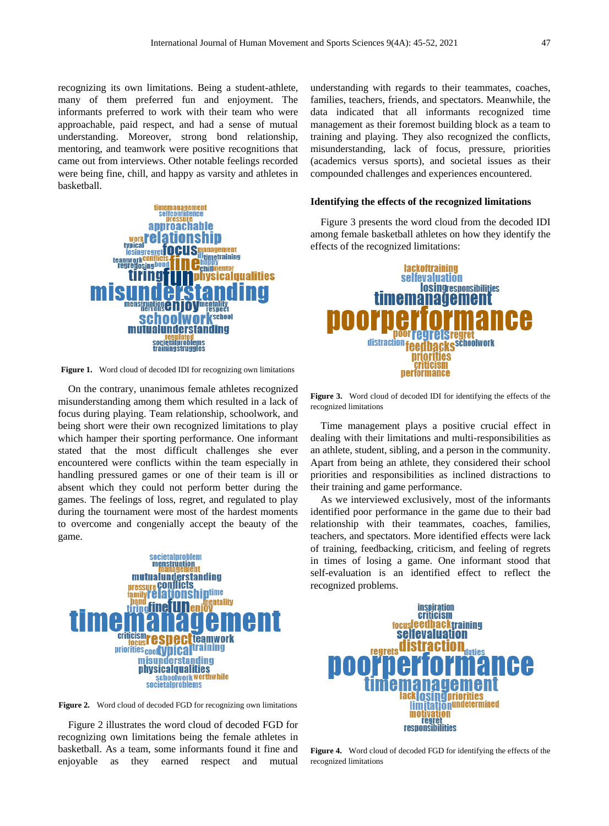recognizing its own limitations. Being a student-athlete, many of them preferred fun and enjoyment. The informants preferred to work with their team who were approachable, paid respect, and had a sense of mutual understanding. Moreover, strong bond relationship, mentoring, and teamwork were positive recognitions that came out from interviews. Other notable feelings recorded were being fine, chill, and happy as varsity and athletes in basketball.



**Figure 1.** Word cloud of decoded IDI for recognizing own limitations

On the contrary, unanimous female athletes recognized misunderstanding among them which resulted in a lack of focus during playing. Team relationship, schoolwork, and being short were their own recognized limitations to play which hamper their sporting performance. One informant stated that the most difficult challenges she ever encountered were conflicts within the team especially in handling pressured games or one of their team is ill or absent which they could not perform better during the games. The feelings of loss, regret, and regulated to play during the tournament were most of the hardest moments to overcome and congenially accept the beauty of the game.



**Figure 2.** Word cloud of decoded FGD for recognizing own limitations

Figure 2 illustrates the word cloud of decoded FGD for recognizing own limitations being the female athletes in basketball. As a team, some informants found it fine and enjoyable as they earned respect and mutual understanding with regards to their teammates, coaches, families, teachers, friends, and spectators. Meanwhile, the data indicated that all informants recognized time management as their foremost building block as a team to training and playing. They also recognized the conflicts, misunderstanding, lack of focus, pressure, priorities (academics versus sports), and societal issues as their compounded challenges and experiences encountered.

#### **Identifying the effects of the recognized limitations**

Figure 3 presents the word cloud from the decoded IDI among female basketball athletes on how they identify the effects of the recognized limitations:



**Figure 3.** Word cloud of decoded IDI for identifying the effects of the recognized limitations

Time management plays a positive crucial effect in dealing with their limitations and multi-responsibilities as an athlete, student, sibling, and a person in the community. Apart from being an athlete, they considered their school priorities and responsibilities as inclined distractions to their training and game performance.

As we interviewed exclusively, most of the informants identified poor performance in the game due to their bad relationship with their teammates, coaches, families, teachers, and spectators. More identified effects were lack of training, feedbacking, criticism, and feeling of regrets in times of losing a game. One informant stood that self-evaluation is an identified effect to reflect the recognized problems.



**Figure 4.** Word cloud of decoded FGD for identifying the effects of the recognized limitations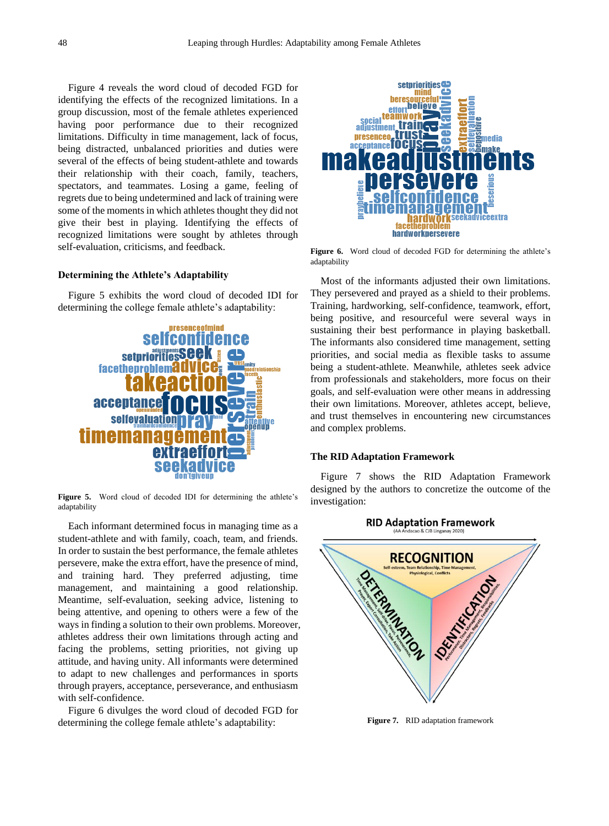Figure 4 reveals the word cloud of decoded FGD for identifying the effects of the recognized limitations. In a group discussion, most of the female athletes experienced having poor performance due to their recognized limitations. Difficulty in time management, lack of focus, being distracted, unbalanced priorities and duties were several of the effects of being student-athlete and towards their relationship with their coach, family, teachers, spectators, and teammates. Losing a game, feeling of regrets due to being undetermined and lack of training were some of the moments in which athletes thought they did not give their best in playing. Identifying the effects of recognized limitations were sought by athletes through self-evaluation, criticisms, and feedback.

#### **Determining the Athlete's Adaptability**

Figure 5 exhibits the word cloud of decoded IDI for determining the college female athlete's adaptability:



**Figure 5.** Word cloud of decoded IDI for determining the athlete's adaptability

Each informant determined focus in managing time as a student-athlete and with family, coach, team, and friends. In order to sustain the best performance, the female athletes persevere, make the extra effort, have the presence of mind, and training hard. They preferred adjusting, time management, and maintaining a good relationship. Meantime, self-evaluation, seeking advice, listening to being attentive, and opening to others were a few of the ways in finding a solution to their own problems. Moreover, athletes address their own limitations through acting and facing the problems, setting priorities, not giving up attitude, and having unity. All informants were determined to adapt to new challenges and performances in sports through prayers, acceptance, perseverance, and enthusiasm with self-confidence.

Figure 6 divulges the word cloud of decoded FGD for determining the college female athlete's adaptability:



**Figure 6.** Word cloud of decoded FGD for determining the athlete's adaptability

Most of the informants adjusted their own limitations. They persevered and prayed as a shield to their problems. Training, hardworking, self-confidence, teamwork, effort, being positive, and resourceful were several ways in sustaining their best performance in playing basketball. The informants also considered time management, setting priorities, and social media as flexible tasks to assume being a student-athlete. Meanwhile, athletes seek advice from professionals and stakeholders, more focus on their goals, and self-evaluation were other means in addressing their own limitations. Moreover, athletes accept, believe, and trust themselves in encountering new circumstances and complex problems.

#### **The RID Adaptation Framework**

Figure 7 shows the RID Adaptation Framework designed by the authors to concretize the outcome of the investigation:

**RID Adaptation Framework** 



**Figure 7.** RID adaptation framework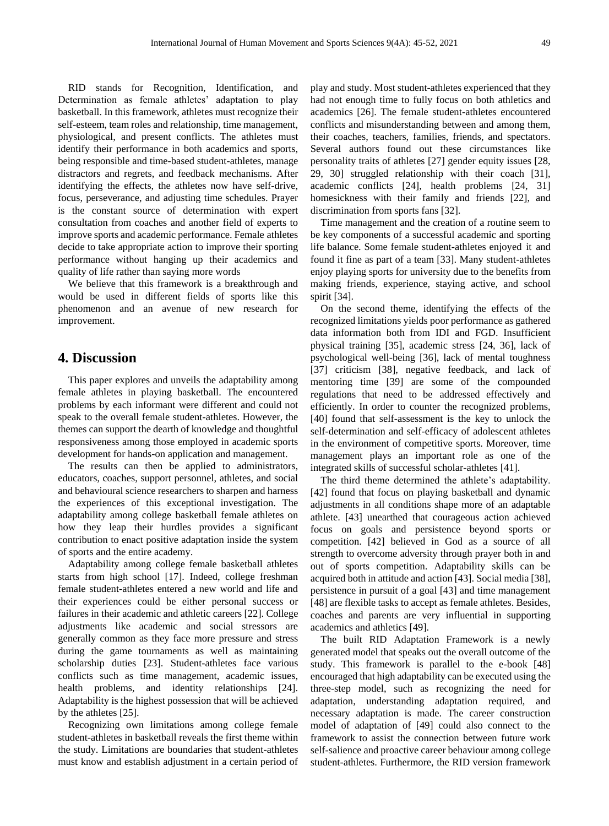RID stands for Recognition, Identification, and Determination as female athletes' adaptation to play basketball. In this framework, athletes must recognize their self-esteem, team roles and relationship, time management, physiological, and present conflicts. The athletes must identify their performance in both academics and sports, being responsible and time-based student-athletes, manage distractors and regrets, and feedback mechanisms. After identifying the effects, the athletes now have self-drive, focus, perseverance, and adjusting time schedules. Prayer is the constant source of determination with expert consultation from coaches and another field of experts to improve sports and academic performance. Female athletes decide to take appropriate action to improve their sporting performance without hanging up their academics and quality of life rather than saying more words

We believe that this framework is a breakthrough and would be used in different fields of sports like this phenomenon and an avenue of new research for improvement.

## **4. Discussion**

This paper explores and unveils the adaptability among female athletes in playing basketball. The encountered problems by each informant were different and could not speak to the overall female student-athletes. However, the themes can support the dearth of knowledge and thoughtful responsiveness among those employed in academic sports development for hands-on application and management.

The results can then be applied to administrators, educators, coaches, support personnel, athletes, and social and behavioural science researchers to sharpen and harness the experiences of this exceptional investigation. The adaptability among college basketball female athletes on how they leap their hurdles provides a significant contribution to enact positive adaptation inside the system of sports and the entire academy.

Adaptability among college female basketball athletes starts from high school [17]. Indeed, college freshman female student-athletes entered a new world and life and their experiences could be either personal success or failures in their academic and athletic careers [22]. College adjustments like academic and social stressors are generally common as they face more pressure and stress during the game tournaments as well as maintaining scholarship duties [23]. Student-athletes face various conflicts such as time management, academic issues, health problems, and identity relationships [24]. Adaptability is the highest possession that will be achieved by the athletes [25].

Recognizing own limitations among college female student-athletes in basketball reveals the first theme within the study. Limitations are boundaries that student-athletes must know and establish adjustment in a certain period of play and study. Most student-athletes experienced that they had not enough time to fully focus on both athletics and academics [26]. The female student-athletes encountered conflicts and misunderstanding between and among them, their coaches, teachers, families, friends, and spectators. Several authors found out these circumstances like personality traits of athletes [27] gender equity issues [28, 29, 30] struggled relationship with their coach [31], academic conflicts [24], health problems [24, 31] homesickness with their family and friends [22], and discrimination from sports fans [32].

Time management and the creation of a routine seem to be key components of a successful academic and sporting life balance. Some female student-athletes enjoyed it and found it fine as part of a team [33]. Many student-athletes enjoy playing sports for university due to the benefits from making friends, experience, staying active, and school spirit [34].

On the second theme, identifying the effects of the recognized limitations yields poor performance as gathered data information both from IDI and FGD. Insufficient physical training [35], academic stress [24, 36], lack of psychological well-being [36], lack of mental toughness [37] criticism [38], negative feedback, and lack of mentoring time [39] are some of the compounded regulations that need to be addressed effectively and efficiently. In order to counter the recognized problems, [40] found that self-assessment is the key to unlock the self-determination and self-efficacy of adolescent athletes in the environment of competitive sports. Moreover, time management plays an important role as one of the integrated skills of successful scholar-athletes [41].

The third theme determined the athlete's adaptability. [42] found that focus on playing basketball and dynamic adjustments in all conditions shape more of an adaptable athlete. [43] unearthed that courageous action achieved focus on goals and persistence beyond sports or competition. [42] believed in God as a source of all strength to overcome adversity through prayer both in and out of sports competition. Adaptability skills can be acquired both in attitude and action [43]. Social media [38], persistence in pursuit of a goal [43] and time management [48] are flexible tasks to accept as female athletes. Besides, coaches and parents are very influential in supporting academics and athletics [49].

The built RID Adaptation Framework is a newly generated model that speaks out the overall outcome of the study. This framework is parallel to the e-book [48] encouraged that high adaptability can be executed using the three-step model, such as recognizing the need for adaptation, understanding adaptation required, and necessary adaptation is made. The career construction model of adaptation of [49] could also connect to the framework to assist the connection between future work self-salience and proactive career behaviour among college student-athletes. Furthermore, the RID version framework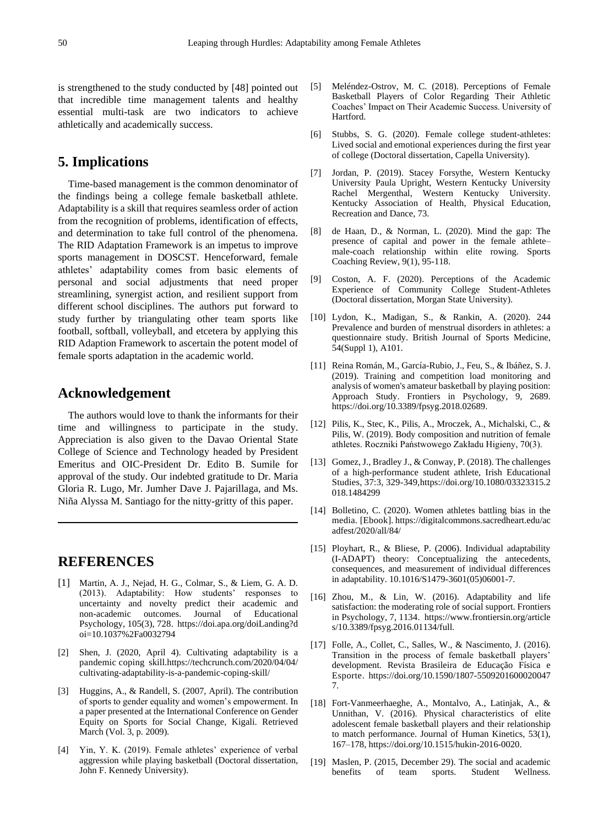is strengthened to the study conducted by [48] pointed out that incredible time management talents and healthy essential multi-task are two indicators to achieve athletically and academically success.

## **5. Implications**

Time-based management is the common denominator of the findings being a college female basketball athlete. Adaptability is a skill that requires seamless order of action from the recognition of problems, identification of effects, and determination to take full control of the phenomena. The RID Adaptation Framework is an impetus to improve sports management in DOSCST. Henceforward, female athletes' adaptability comes from basic elements of personal and social adjustments that need proper streamlining, synergist action, and resilient support from different school disciplines. The authors put forward to study further by triangulating other team sports like football, softball, volleyball, and etcetera by applying this RID Adaption Framework to ascertain the potent model of female sports adaptation in the academic world.

## **Acknowledgement**

The authors would love to thank the informants for their time and willingness to participate in the study. Appreciation is also given to the Davao Oriental State College of Science and Technology headed by President Emeritus and OIC-President Dr. Edito B. Sumile for approval of the study. Our indebted gratitude to Dr. Maria Gloria R. Lugo, Mr. Jumher Dave J. Pajarillaga, and Ms. Niña Alyssa M. Santiago for the nitty-gritty of this paper.

## **REFERENCES**

- [1] Martin, A. J., Nejad, H. G., Colmar, S., & Liem, G. A. D. (2013). Adaptability: How students' responses to uncertainty and novelty predict their academic and non-academic outcomes. Journal of Educational Psychology, 105(3), 728. https://doi.apa.org/doiLanding?d oi=10.1037%2Fa0032794
- [2] Shen, J. (2020, April 4). Cultivating adaptability is a pandemic coping skill.https://techcrunch.com/2020/04/04/ cultivating-adaptability-is-a-pandemic-coping-skill/
- [3] Huggins, A., & Randell, S. (2007, April). The contribution of sports to gender equality and women's empowerment. In a paper presented at the International Conference on Gender Equity on Sports for Social Change, Kigali. Retrieved March (Vol. 3, p. 2009).
- [4] Yin, Y. K. (2019). Female athletes' experience of verbal aggression while playing basketball (Doctoral dissertation, John F. Kennedy University).
- [5] Mel éndez-Ostrov, M. C. (2018). Perceptions of Female Basketball Players of Color Regarding Their Athletic Coaches' Impact on Their Academic Success. University of Hartford.
- [6] Stubbs, S. G. (2020). Female college student-athletes: Lived social and emotional experiences during the first year of college (Doctoral dissertation, Capella University).
- [7] Jordan, P. (2019). Stacey Forsythe, Western Kentucky University Paula Upright, Western Kentucky University Rachel Mergenthal, Western Kentucky University. Kentucky Association of Health, Physical Education, Recreation and Dance, 73.
- [8] de Haan, D., & Norman, L. (2020). Mind the gap: The presence of capital and power in the female athlete– male-coach relationship within elite rowing. Sports Coaching Review, 9(1), 95-118.
- [9] Coston, A. F. (2020). Perceptions of the Academic Experience of Community College Student-Athletes (Doctoral dissertation, Morgan State University).
- [10] Lydon, K., Madigan, S., & Rankin, A. (2020). 244 Prevalence and burden of menstrual disorders in athletes: a questionnaire study. British Journal of Sports Medicine, 54(Suppl 1), A101.
- [11] Reina Román, M., Garc á-Rubio, J., Feu, S., & Ibáñez, S. J. (2019). Training and competition load monitoring and analysis of women's amateur basketball by playing position: Approach Study. Frontiers in Psychology, 9, 2689. https://doi.org/10.3389/fpsyg.2018.02689.
- [12] Pilis, K., Stec, K., Pilis, A., Mroczek, A., Michalski, C., & Pilis, W. (2019). Body composition and nutrition of female athletes. Roczniki Państwowego Zakładu Higieny, 70(3).
- [13] Gomez, J., Bradley J., & Conway, P. (2018). The challenges of a high-performance student athlete, Irish Educational Studies, 37:3, 329-349,https://doi.org/10.1080/03323315.2 018.1484299
- [14] Bolletino, C. (2020). Women athletes battling bias in the media. [Ebook]. https://digitalcommons.sacredheart.edu/ac adfest/2020/all/84/
- [15] Ployhart, R., & Bliese, P. (2006). Individual adaptability (I-ADAPT) theory: Conceptualizing the antecedents, consequences, and measurement of individual differences in adaptability. 10.1016/S1479-3601(05)06001-7.
- [16] Zhou, M., & Lin, W. (2016). Adaptability and life satisfaction: the moderating role of social support. Frontiers in Psychology, 7, 1134. https://www.frontiersin.org/article s/10.3389/fpsyg.2016.01134/full.
- [17] Folle, A., Collet, C., Salles, W., & Nascimento, J. (2016). Transition in the process of female basketball players' development. Revista Brasileira de Educação Física e Esporte. https://doi.org/10.1590/1807-5509201600020047 7.
- [18] Fort-Vanmeerhaeghe, A., Montalvo, A., Latinjak, A., & Unnithan, V. (2016). Physical characteristics of elite adolescent female basketball players and their relationship to match performance. Journal of Human Kinetics, 53(1), 167–178, https://doi.org/10.1515/hukin-2016-0020.
- [19] Maslen, P. (2015, December 29). The social and academic benefits of team sports. Student Wellness.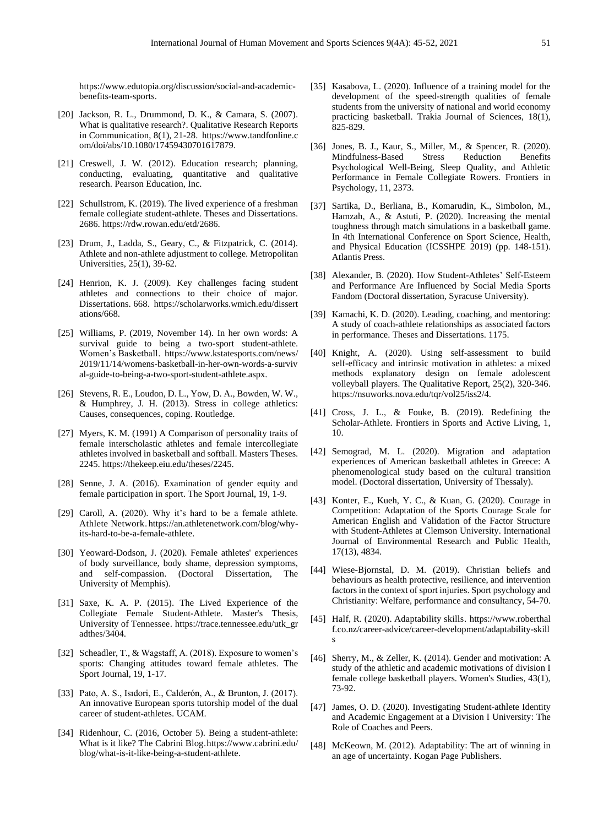https://www.edutopia.org/discussion/social-and-academicbenefits-team-sports.

- [20] Jackson, R. L., Drummond, D. K., & Camara, S. (2007). What is qualitative research?. Qualitative Research Reports in Communication, 8(1), 21-28. https://www.tandfonline.c om/doi/abs/10.1080/17459430701617879.
- [21] Creswell, J. W. (2012). Education research; planning, conducting, evaluating, quantitative and qualitative research. Pearson Education, Inc.
- [22] Schullstrom, K. (2019). The lived experience of a freshman female collegiate student-athlete. Theses and Dissertations. 2686. https://rdw.rowan.edu/etd/2686.
- [23] Drum, J., Ladda, S., Geary, C., & Fitzpatrick, C. (2014). Athlete and non-athlete adjustment to college. Metropolitan Universities, 25(1), 39-62.
- [24] Henrion, K. J. (2009). Key challenges facing student athletes and connections to their choice of major. Dissertations. 668. https://scholarworks.wmich.edu/dissert ations/668.
- [25] Williams, P. (2019, November 14). In her own words: A survival guide to being a two-sport student-athlete. Women's Basketball. https://www.kstatesports.com/news/ 2019/11/14/womens-basketball-in-her-own-words-a-surviv al-guide-to-being-a-two-sport-student-athlete.aspx.
- [26] Stevens, R. E., Loudon, D. L., Yow, D. A., Bowden, W. W., & Humphrey, J. H. (2013). Stress in college athletics: Causes, consequences, coping. Routledge.
- [27] Myers, K. M. (1991) A Comparison of personality traits of female interscholastic athletes and female intercollegiate athletes involved in basketball and softball. Masters Theses. 2245. https://thekeep.eiu.edu/theses/2245.
- [28] Senne, J. A. (2016). Examination of gender equity and female participation in sport. The Sport Journal, 19, 1-9.
- [29] Caroll, A. (2020). Why it's hard to be a female athlete. Athlete Network. https://an.athletenetwork.com/blog/whyits-hard-to-be-a-female-athlete.
- [30] Yeoward-Dodson, J. (2020). Female athletes' experiences of body surveillance, body shame, depression symptoms, and self-compassion. (Doctoral Dissertation, The University of Memphis).
- [31] Saxe, K. A. P. (2015). The Lived Experience of the Collegiate Female Student-Athlete. Master's Thesis, University of Tennessee. https://trace.tennessee.edu/utk\_gr adthes/3404.
- [32] Scheadler, T., & Wagstaff, A. (2018). Exposure to women's sports: Changing attitudes toward female athletes. The Sport Journal, 19, 1-17.
- [33] Pato, A. S., Isıdori, E., Calderón, A., & Brunton, J. (2017). An innovative European sports tutorship model of the dual career of student-athletes. UCAM.
- [34] Ridenhour, C. (2016, October 5). Being a student-athlete: What is it like? The Cabrini Blog.https://www.cabrini.edu/ blog/what-is-it-like-being-a-student-athlete.
- [35] Kasabova, L. (2020). Influence of a training model for the development of the speed-strength qualities of female students from the university of national and world economy practicing basketball. Trakia Journal of Sciences, 18(1), 825-829.
- [36] Jones, B. J., Kaur, S., Miller, M., & Spencer, R. (2020). Mindfulness-Based Stress Reduction Benefits Psychological Well-Being, Sleep Quality, and Athletic Performance in Female Collegiate Rowers. Frontiers in Psychology, 11, 2373.
- [37] Sartika, D., Berliana, B., Komarudin, K., Simbolon, M., Hamzah, A., & Astuti, P. (2020). Increasing the mental toughness through match simulations in a basketball game. In 4th International Conference on Sport Science, Health, and Physical Education (ICSSHPE 2019) (pp. 148-151). Atlantis Press.
- [38] Alexander, B. (2020). How Student-Athletes' Self-Esteem and Performance Are Influenced by Social Media Sports Fandom (Doctoral dissertation, Syracuse University).
- [39] Kamachi, K. D. (2020). Leading, coaching, and mentoring: A study of coach-athlete relationships as associated factors in performance. Theses and Dissertations. 1175.
- [40] Knight, A. (2020). Using self-assessment to build self-efficacy and intrinsic motivation in athletes: a mixed methods explanatory design on female adolescent volleyball players. The Qualitative Report, 25(2), 320-346. https://nsuworks.nova.edu/tqr/vol25/iss2/4.
- [41] Cross, J. L., & Fouke, B. (2019). Redefining the Scholar-Athlete. Frontiers in Sports and Active Living, 1, 10.
- [42] Semograd, M. L. (2020). Migration and adaptation experiences of American basketball athletes in Greece: A phenomenological study based on the cultural transition model. (Doctoral dissertation, University of Thessaly).
- [43] Konter, E., Kueh, Y. C., & Kuan, G. (2020). Courage in Competition: Adaptation of the Sports Courage Scale for American English and Validation of the Factor Structure with Student-Athletes at Clemson University. International Journal of Environmental Research and Public Health, 17(13), 4834.
- [44] Wiese-Bjornstal, D. M. (2019). Christian beliefs and behaviours as health protective, resilience, and intervention factors in the context of sport injuries. Sport psychology and Christianity: Welfare, performance and consultancy, 54-70.
- [45] Half, R. (2020). Adaptability skills. https://www.roberthal f.co.nz/career-advice/career-development/adaptability-skill s
- [46] Sherry, M., & Zeller, K. (2014). Gender and motivation: A study of the athletic and academic motivations of division I female college basketball players. Women's Studies, 43(1), 73-92.
- [47] James, O. D. (2020). Investigating Student-athlete Identity and Academic Engagement at a Division I University: The Role of Coaches and Peers.
- [48] McKeown, M. (2012). Adaptability: The art of winning in an age of uncertainty. Kogan Page Publishers.